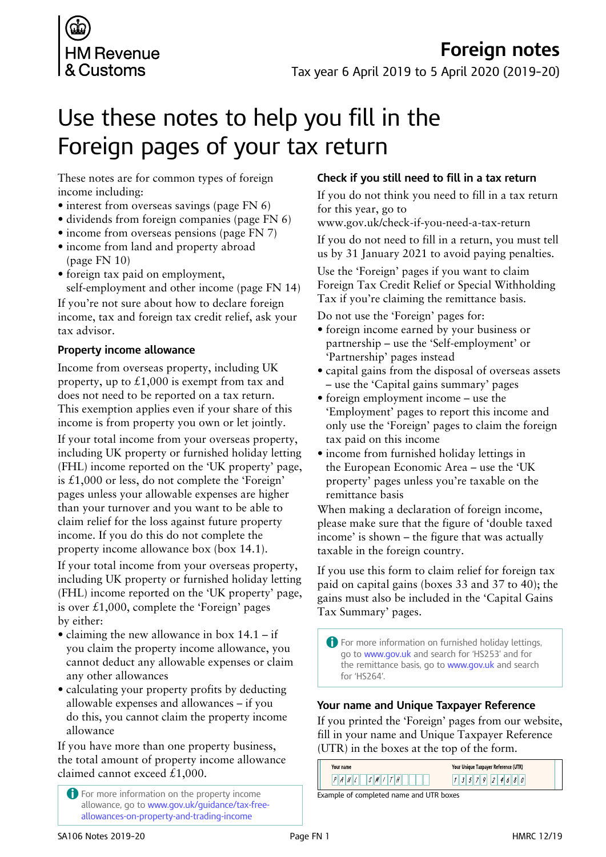

# **Foreign notes**

Tax year 6 April 2019 to 5 April 2020 (2019–20)

# Use these notes to help you fill in the Foreign pages of your tax return

These notes are for common types of foreign income including:

- interest from overseas savings (page FN 6)
- dividends from foreign companies (page FN 6)
- income from overseas pensions (page FN 7)
- income from land and property abroad (page FN 10)
- foreign tax paid on employment, self-employment and other income (page FN 14)

If you're not sure about how to declare foreign income, tax and foreign tax credit relief, ask your tax advisor.

#### **Property income allowance**

Income from overseas property, including UK property, up to  $\pounds1,000$  is exempt from tax and does not need to be reported on a tax return. This exemption applies even if your share of this income is from property you own or let jointly.

If your total income from your overseas property, including UK property or furnished holiday letting (FHL) income reported on the 'UK property' page, is £1,000 or less, do not complete the 'Foreign' pages unless your allowable expenses are higher than your turnover and you want to be able to claim relief for the loss against future property income. If you do this do not complete the property income allowance box (box 14.1).

If your total income from your overseas property, including UK property or furnished holiday letting (FHL) income reported on the 'UK property' page, is over  $£1,000$ , complete the 'Foreign' pages by either:

- claiming the new allowance in box  $14.1 if$ you claim the property income allowance, you cannot deduct any allowable expenses or claim any other allowances
- calculating your property profits by deducting allowable expenses and allowances – if you do this, you cannot claim the property income allowance

If you have more than one property business, the total amount of property income allowance claimed cannot exceed £1,000.

A For more information on the property income allowance, go to www.gov.uk/guidance/tax-freeallowances-on-property-and-trading-income

#### **Check if you still need to fill in a tax return**

If you do not think you need to fill in a tax return for this year, go to

www.gov.uk/check-if-you-need-a-tax-return

If you do not need to fill in a return, you must tell us by 31 January 2021 to avoid paying penalties.

Use the 'Foreign' pages if you want to claim Foreign Tax Credit Relief or Special Withholding Tax if you're claiming the remittance basis.

Do not use the 'Foreign' pages for:

- foreign income earned by your business or partnership – use the 'Self-employment' or 'Partnership' pages instead
- capital gains from the disposal of overseas assets – use the 'Capital gains summary' pages
- foreign employment income use the 'Employment' pages to report this income and only use the 'Foreign' pages to claim the foreign tax paid on this income
- income from furnished holiday lettings in the European Economic Area – use the 'UK property' pages unless you're taxable on the remittance basis

When making a declaration of foreign income, please make sure that the figure of 'double taxed income' is shown – the figure that was actually taxable in the foreign country.

If you use this form to claim relief for foreign tax paid on capital gains (boxes 33 and 37 to 40); the gains must also be included in the 'Capital Gains Tax Summary' pages.

A For more information on furnished holiday lettings, go to www.gov.uk and search for 'HS253' and for the remittance basis, go to www.gov.uk and search for 'HS264'.

#### **Your name and Unique Taxpayer Reference**

If you printed the 'Foreign' pages from our website, fill in your name and Unique Taxpayer Reference (UTR) in the boxes at the top of the form.

| Your name                   | Your Unique Taxpayer Reference (UTR) |
|-----------------------------|--------------------------------------|
| $\mathcal{M}^{\prime}$<br>И | 46                                   |
| $\blacksquare$              |                                      |

Example of completed name and UTR boxes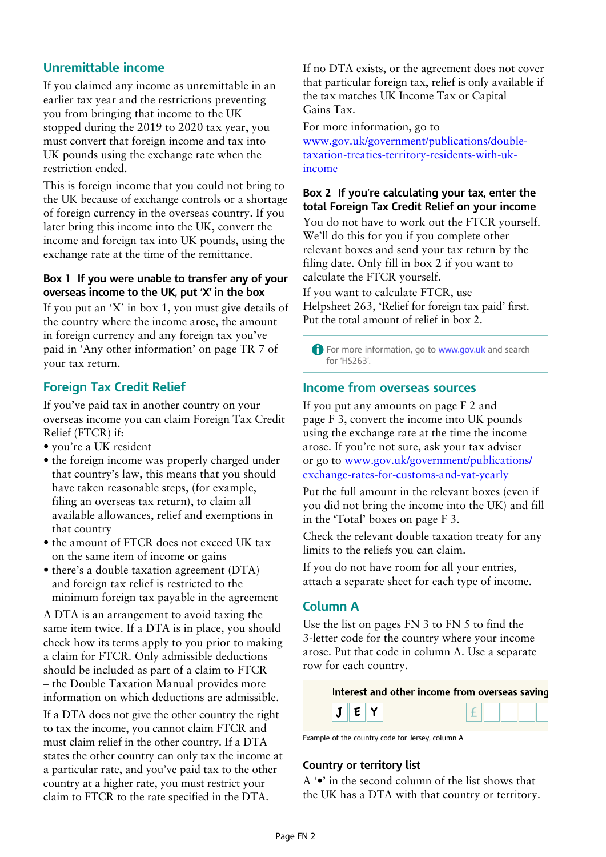## **Unremittable income**

If you claimed any income as unremittable in an earlier tax year and the restrictions preventing you from bringing that income to the UK stopped during the 2019 to 2020 tax year, you must convert that foreign income and tax into UK pounds using the exchange rate when the restriction ended.

This is foreign income that you could not bring to the UK because of exchange controls or a shortage of foreign currency in the overseas country. If you later bring this income into the UK, convert the income and foreign tax into UK pounds, using the exchange rate at the time of the remittance.

#### **Box 1 If you were unable to transfer any of your overseas income to the UK, put 'X' in the box**

If you put an 'X' in box 1, you must give details of the country where the income arose, the amount in foreign currency and any foreign tax you've paid in 'Any other information' on page TR 7 of your tax return.

## **Foreign Tax Credit Relief**

If you've paid tax in another country on your overseas income you can claim Foreign Tax Credit Relief (FTCR) if:

- you're a UK resident
- the foreign income was properly charged under that country's law, this means that you should have taken reasonable steps, (for example, filing an overseas tax return), to claim all available allowances, relief and exemptions in that country
- the amount of FTCR does not exceed UK tax on the same item of income or gains
- there's a double taxation agreement (DTA) and foreign tax relief is restricted to the minimum foreign tax payable in the agreement

A DTA is an arrangement to avoid taxing the same item twice. If a DTA is in place, you should check how its terms apply to you prior to making a claim for FTCR. Only admissible deductions should be included as part of a claim to FTCR – the Double Taxation Manual provides more information on which deductions are admissible.

If a DTA does not give the other country the right to tax the income, you cannot claim FTCR and must claim relief in the other country. If a DTA states the other country can only tax the income at a particular rate, and you've paid tax to the other country at a higher rate, you must restrict your claim to FTCR to the rate specified in the DTA.

If no DTA exists, or the agreement does not cover that particular foreign tax, relief is only available if the tax matches UK Income Tax or Capital Gains Tax.

For more information, go to www.gov.uk/government/publications/doubletaxation-treaties-territory-residents-with-ukincome

#### **Box 2 If you're calculating your tax, enter the total Foreign Tax Credit Relief on your income**

You do not have to work out the FTCR yourself. We'll do this for you if you complete other relevant boxes and send your tax return by the filing date. Only fill in box 2 if you want to calculate the FTCR yourself.

If you want to calculate FTCR, use Helpsheet 263, 'Relief for foreign tax paid' first. Put the total amount of relief in box 2.

**A** For more information, go to www.gov.uk and search for 'HS263'.

## **Income from overseas sources**

If you put any amounts on page F 2 and page F 3, convert the income into UK pounds using the exchange rate at the time the income arose. If you're not sure, ask your tax adviser or go to www.gov.uk/government/publications/ exchange-rates-for-customs-and-vat-yearly

Put the full amount in the relevant boxes (even if you did not bring the income into the UK) and fill in the 'Total' boxes on page F 3.

Check the relevant double taxation treaty for any limits to the reliefs you can claim.

If you do not have room for all your entries, attach a separate sheet for each type of income.

## **Column A**

Use the list on pages FN 3 to FN 5 to find the 3-letter code for the country where your income arose. Put that code in column A. Use a separate row for each country.

| Interest and other income from overseas savind |
|------------------------------------------------|
|                                                |

Example of the country code for Jersey, column A

#### **Country or territory list**

A '•' in the second column of the list shows that the UK has a DTA with that country or territory.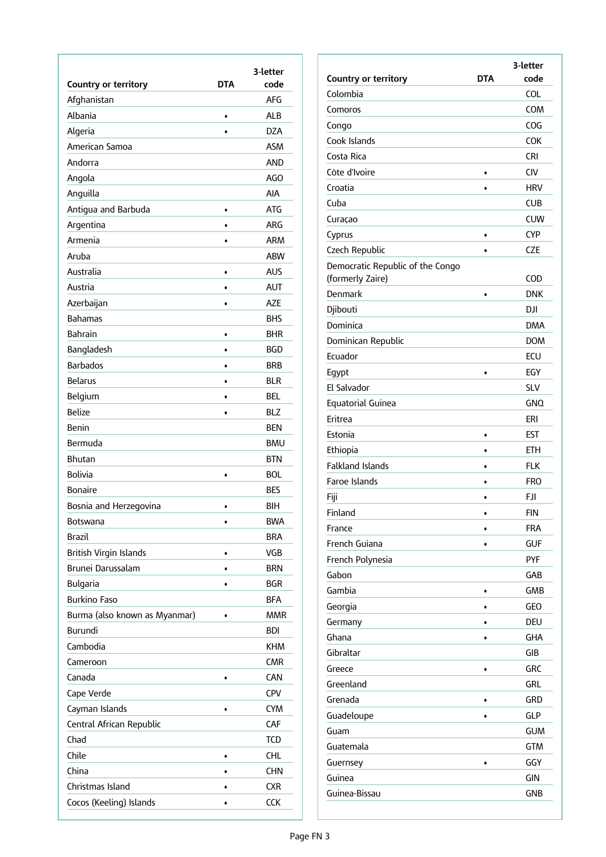| Country or territory          | <b>DTA</b> | 3-letter<br>code |
|-------------------------------|------------|------------------|
| Afghanistan                   |            | <b>AFG</b>       |
| Albania                       | $\bullet$  | ALB              |
| Algeria                       |            | <b>DZA</b>       |
| American Samoa                |            | <b>ASM</b>       |
| Andorra                       |            | <b>AND</b>       |
| Angola                        |            | AGO              |
| Anguilla                      |            | AIA              |
| Antigua and Barbuda           | $\bullet$  | <b>ATG</b>       |
| Argentina                     | $\bullet$  | <b>ARG</b>       |
| Armenia                       | $\bullet$  | <b>ARM</b>       |
| Aruba                         |            | <b>ABW</b>       |
| Australia                     | $\bullet$  | AUS              |
| Austria                       | $\bullet$  | <b>AUT</b>       |
| Azerbaijan                    | $\bullet$  | AZE              |
| <b>Bahamas</b>                |            | <b>BHS</b>       |
| <b>Bahrain</b>                | $\bullet$  | <b>BHR</b>       |
| Bangladesh                    | $\bullet$  | BGD              |
| <b>Barbados</b>               | $\bullet$  | <b>BRB</b>       |
| <b>Belarus</b>                | ٠          | <b>BLR</b>       |
| Belgium                       | $\bullet$  | <b>BEL</b>       |
| <b>Belize</b>                 | $\bullet$  | <b>BLZ</b>       |
| Benin                         |            | <b>BEN</b>       |
| Bermuda                       |            | <b>BMU</b>       |
| Bhutan                        |            | <b>BTN</b>       |
| <b>Bolivia</b>                | $\bullet$  | <b>BOL</b>       |
| <b>Bonaire</b>                |            | <b>BES</b>       |
| Bosnia and Herzegovina        | $\bullet$  | BIH              |
| Botswana                      | $\bullet$  | <b>BWA</b>       |
| <b>Brazil</b>                 |            | <b>BRA</b>       |
| British Virgin Islands        | $\bullet$  | VGB              |
| Brunei Darussalam             | $\bullet$  | <b>BRN</b>       |
| Bulgaria                      | $\bullet$  | <b>BGR</b>       |
| <b>Burkino Faso</b>           |            | <b>BFA</b>       |
| Burma (also known as Myanmar) | $\bullet$  | <b>MMR</b>       |
| Burundi                       |            | <b>BDI</b>       |
| Cambodia                      |            | <b>KHM</b>       |
| Cameroon                      |            | <b>CMR</b>       |
| Canada                        |            | <b>CAN</b>       |
| Cape Verde                    |            | <b>CPV</b>       |
| Cayman Islands                | $\bullet$  | <b>CYM</b>       |
| Central African Republic      |            | CAF              |
| Chad                          |            | TCD              |
| Chile                         | ۰          | CHL.             |
| China                         | $\bullet$  | <b>CHN</b>       |
| Christmas Island              | $\bullet$  | <b>CXR</b>       |
| Cocos (Keeling) Islands       | $\bullet$  | CCK              |

|                                                      |           | 3-letter   |
|------------------------------------------------------|-----------|------------|
| <b>Country or territory</b>                          | DTA       | code       |
| Colombia                                             |           | <b>COL</b> |
| Comoros                                              |           | COM        |
| Congo                                                |           | COG        |
| Cook Islands                                         |           | <b>COK</b> |
| Costa Rica                                           |           | CRI        |
| Côte d'Ivoire                                        |           | <b>CIV</b> |
| Croatia                                              | $\bullet$ | <b>HRV</b> |
| Cuba                                                 |           | <b>CUB</b> |
| Curaçao                                              |           | <b>CUW</b> |
| Cyprus                                               | ٠         | <b>CYP</b> |
| Czech Republic                                       | $\bullet$ | CZE        |
| Democratic Republic of the Congo<br>(formerly Zaire) |           | COD        |
| Denmark                                              | $\bullet$ | <b>DNK</b> |
| Djibouti                                             |           | DJI        |
| Dominica                                             |           | <b>DMA</b> |
| Dominican Republic                                   |           | <b>DOM</b> |
| Ecuador                                              |           | ECU        |
| Egypt                                                | $\bullet$ | EGY        |
| El Salvador                                          |           | <b>SLV</b> |
| Equatorial Guinea                                    |           | <b>GNO</b> |
| Eritrea                                              |           | eri        |
| Estonia                                              | $\bullet$ | EST        |
| Ethiopia                                             | $\bullet$ | <b>ETH</b> |
| <b>Falkland Islands</b>                              | ٠         | <b>FLK</b> |
| Faroe Islands                                        |           | <b>FRO</b> |
| Fiji                                                 |           | <b>FJI</b> |
| Finland                                              |           | <b>FIN</b> |
| France                                               |           | <b>FRA</b> |
| French Guiana                                        |           | <b>GUF</b> |
| French Polynesia                                     |           | <b>PYF</b> |
| Gabon                                                |           | GAB        |
| Gambia                                               | $\bullet$ | GMB        |
| Georgia                                              |           | <b>GEO</b> |
| Germany                                              |           | <b>DEU</b> |
| Ghana                                                | $\bullet$ | GHA        |
| Gibraltar                                            |           | GIB        |
| Greece                                               |           | GRC        |
| Greenland                                            |           | GRL        |
| Grenada                                              |           | GRD        |
| Guadeloupe                                           |           | <b>GLP</b> |
| Guam                                                 |           | <b>GUM</b> |
| Guatemala                                            |           | <b>GTM</b> |
| Guernsey                                             |           | GGY        |
|                                                      |           |            |
| Guinea                                               |           | GIN        |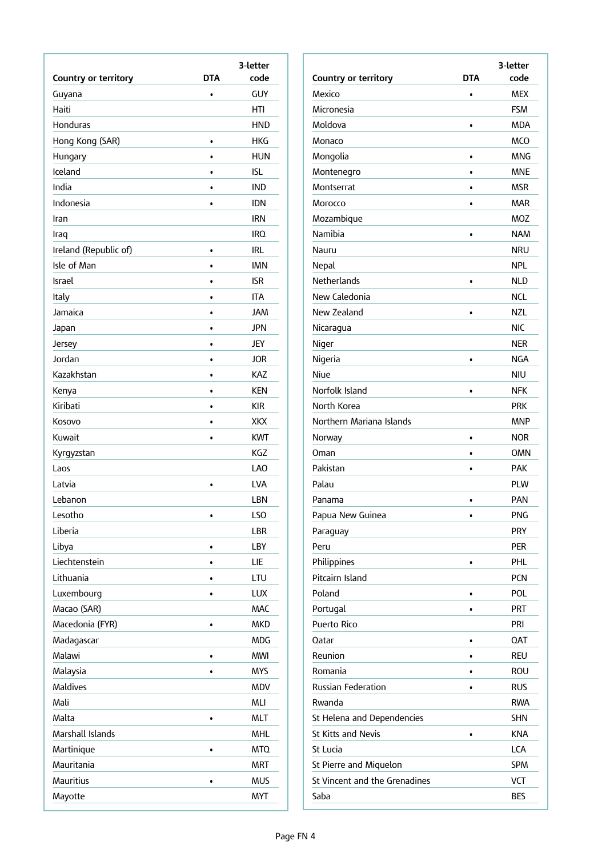| code<br>DTA<br>GUY<br>Guyana<br>$\bullet$<br>Haiti<br>HTI<br>Honduras<br><b>HND</b><br>Hong Kong (SAR)<br>HKG<br>$\bullet$<br>Hungary<br>HUN<br>$\bullet$<br>Iceland<br>ISL<br>$\bullet$<br>India<br>IND<br>Indonesia<br><b>IDN</b><br><b>IRN</b><br>Iran<br>IRQ.<br>Iraq<br>Ireland (Republic of)<br>irl<br>$\bullet$<br>Isle of Man<br><b>IMN</b><br>٠<br>Israel<br>isr<br>$\bullet$<br>Italy<br>ITA<br>$\bullet$<br>Jamaica<br><b>JAM</b><br>$\bullet$<br><b>JPN</b><br>Japan<br><b>JEY</b><br>Jersey<br>٠<br>Jordan<br>JOR<br>$\bullet$<br>Kazakhstan<br>KAZ<br>$\bullet$<br><b>KEN</b><br>Kenya<br>$\bullet$<br>Kiribati<br>KIR<br>Kosovo<br>XKX<br>$\bullet$<br>Kuwait<br><b>KWT</b><br>$\bullet$<br>KGZ<br>Kyrgyzstan<br><b>LAO</b><br>Laos<br>Latvia<br>LVA<br>$\bullet$<br>Lebanon<br>LBN<br>Lesotho<br>LSO<br>$\bullet$<br>Liberia<br>LBR<br>Libya<br>LBY<br>٠<br>Liechtenstein<br>LIE<br>$\bullet$<br>Lithuania<br><b>LTU</b><br>Luxembourg<br><b>LUX</b><br>Macao (SAR)<br><b>MAC</b><br>Macedonia (FYR)<br><b>MKD</b><br>$\bullet$<br>Madagascar<br><b>MDG</b><br>Malawi<br><b>MWI</b><br>$\bullet$<br>Malaysia<br><b>MYS</b><br>Maldives<br>MDV<br>Mali<br>MLI<br>Malta<br><b>MLT</b><br>$\bullet$<br>Marshall Islands<br><b>MHL</b><br><b>MTQ</b><br>Martinique<br>$\bullet$<br>Mauritania<br><b>MRT</b><br>Mauritius<br><b>MUS</b> |                      | 3-letter |
|----------------------------------------------------------------------------------------------------------------------------------------------------------------------------------------------------------------------------------------------------------------------------------------------------------------------------------------------------------------------------------------------------------------------------------------------------------------------------------------------------------------------------------------------------------------------------------------------------------------------------------------------------------------------------------------------------------------------------------------------------------------------------------------------------------------------------------------------------------------------------------------------------------------------------------------------------------------------------------------------------------------------------------------------------------------------------------------------------------------------------------------------------------------------------------------------------------------------------------------------------------------------------------------------------------------------------------------------------|----------------------|----------|
|                                                                                                                                                                                                                                                                                                                                                                                                                                                                                                                                                                                                                                                                                                                                                                                                                                                                                                                                                                                                                                                                                                                                                                                                                                                                                                                                                    | Country or territory |          |
|                                                                                                                                                                                                                                                                                                                                                                                                                                                                                                                                                                                                                                                                                                                                                                                                                                                                                                                                                                                                                                                                                                                                                                                                                                                                                                                                                    |                      |          |
|                                                                                                                                                                                                                                                                                                                                                                                                                                                                                                                                                                                                                                                                                                                                                                                                                                                                                                                                                                                                                                                                                                                                                                                                                                                                                                                                                    |                      |          |
|                                                                                                                                                                                                                                                                                                                                                                                                                                                                                                                                                                                                                                                                                                                                                                                                                                                                                                                                                                                                                                                                                                                                                                                                                                                                                                                                                    |                      |          |
|                                                                                                                                                                                                                                                                                                                                                                                                                                                                                                                                                                                                                                                                                                                                                                                                                                                                                                                                                                                                                                                                                                                                                                                                                                                                                                                                                    |                      |          |
|                                                                                                                                                                                                                                                                                                                                                                                                                                                                                                                                                                                                                                                                                                                                                                                                                                                                                                                                                                                                                                                                                                                                                                                                                                                                                                                                                    |                      |          |
|                                                                                                                                                                                                                                                                                                                                                                                                                                                                                                                                                                                                                                                                                                                                                                                                                                                                                                                                                                                                                                                                                                                                                                                                                                                                                                                                                    |                      |          |
|                                                                                                                                                                                                                                                                                                                                                                                                                                                                                                                                                                                                                                                                                                                                                                                                                                                                                                                                                                                                                                                                                                                                                                                                                                                                                                                                                    |                      |          |
|                                                                                                                                                                                                                                                                                                                                                                                                                                                                                                                                                                                                                                                                                                                                                                                                                                                                                                                                                                                                                                                                                                                                                                                                                                                                                                                                                    |                      |          |
|                                                                                                                                                                                                                                                                                                                                                                                                                                                                                                                                                                                                                                                                                                                                                                                                                                                                                                                                                                                                                                                                                                                                                                                                                                                                                                                                                    |                      |          |
|                                                                                                                                                                                                                                                                                                                                                                                                                                                                                                                                                                                                                                                                                                                                                                                                                                                                                                                                                                                                                                                                                                                                                                                                                                                                                                                                                    |                      |          |
|                                                                                                                                                                                                                                                                                                                                                                                                                                                                                                                                                                                                                                                                                                                                                                                                                                                                                                                                                                                                                                                                                                                                                                                                                                                                                                                                                    |                      |          |
|                                                                                                                                                                                                                                                                                                                                                                                                                                                                                                                                                                                                                                                                                                                                                                                                                                                                                                                                                                                                                                                                                                                                                                                                                                                                                                                                                    |                      |          |
|                                                                                                                                                                                                                                                                                                                                                                                                                                                                                                                                                                                                                                                                                                                                                                                                                                                                                                                                                                                                                                                                                                                                                                                                                                                                                                                                                    |                      |          |
|                                                                                                                                                                                                                                                                                                                                                                                                                                                                                                                                                                                                                                                                                                                                                                                                                                                                                                                                                                                                                                                                                                                                                                                                                                                                                                                                                    |                      |          |
|                                                                                                                                                                                                                                                                                                                                                                                                                                                                                                                                                                                                                                                                                                                                                                                                                                                                                                                                                                                                                                                                                                                                                                                                                                                                                                                                                    |                      |          |
|                                                                                                                                                                                                                                                                                                                                                                                                                                                                                                                                                                                                                                                                                                                                                                                                                                                                                                                                                                                                                                                                                                                                                                                                                                                                                                                                                    |                      |          |
|                                                                                                                                                                                                                                                                                                                                                                                                                                                                                                                                                                                                                                                                                                                                                                                                                                                                                                                                                                                                                                                                                                                                                                                                                                                                                                                                                    |                      |          |
|                                                                                                                                                                                                                                                                                                                                                                                                                                                                                                                                                                                                                                                                                                                                                                                                                                                                                                                                                                                                                                                                                                                                                                                                                                                                                                                                                    |                      |          |
|                                                                                                                                                                                                                                                                                                                                                                                                                                                                                                                                                                                                                                                                                                                                                                                                                                                                                                                                                                                                                                                                                                                                                                                                                                                                                                                                                    |                      |          |
|                                                                                                                                                                                                                                                                                                                                                                                                                                                                                                                                                                                                                                                                                                                                                                                                                                                                                                                                                                                                                                                                                                                                                                                                                                                                                                                                                    |                      |          |
|                                                                                                                                                                                                                                                                                                                                                                                                                                                                                                                                                                                                                                                                                                                                                                                                                                                                                                                                                                                                                                                                                                                                                                                                                                                                                                                                                    |                      |          |
|                                                                                                                                                                                                                                                                                                                                                                                                                                                                                                                                                                                                                                                                                                                                                                                                                                                                                                                                                                                                                                                                                                                                                                                                                                                                                                                                                    |                      |          |
|                                                                                                                                                                                                                                                                                                                                                                                                                                                                                                                                                                                                                                                                                                                                                                                                                                                                                                                                                                                                                                                                                                                                                                                                                                                                                                                                                    |                      |          |
|                                                                                                                                                                                                                                                                                                                                                                                                                                                                                                                                                                                                                                                                                                                                                                                                                                                                                                                                                                                                                                                                                                                                                                                                                                                                                                                                                    |                      |          |
|                                                                                                                                                                                                                                                                                                                                                                                                                                                                                                                                                                                                                                                                                                                                                                                                                                                                                                                                                                                                                                                                                                                                                                                                                                                                                                                                                    |                      |          |
|                                                                                                                                                                                                                                                                                                                                                                                                                                                                                                                                                                                                                                                                                                                                                                                                                                                                                                                                                                                                                                                                                                                                                                                                                                                                                                                                                    |                      |          |
|                                                                                                                                                                                                                                                                                                                                                                                                                                                                                                                                                                                                                                                                                                                                                                                                                                                                                                                                                                                                                                                                                                                                                                                                                                                                                                                                                    |                      |          |
|                                                                                                                                                                                                                                                                                                                                                                                                                                                                                                                                                                                                                                                                                                                                                                                                                                                                                                                                                                                                                                                                                                                                                                                                                                                                                                                                                    |                      |          |
|                                                                                                                                                                                                                                                                                                                                                                                                                                                                                                                                                                                                                                                                                                                                                                                                                                                                                                                                                                                                                                                                                                                                                                                                                                                                                                                                                    |                      |          |
|                                                                                                                                                                                                                                                                                                                                                                                                                                                                                                                                                                                                                                                                                                                                                                                                                                                                                                                                                                                                                                                                                                                                                                                                                                                                                                                                                    |                      |          |
|                                                                                                                                                                                                                                                                                                                                                                                                                                                                                                                                                                                                                                                                                                                                                                                                                                                                                                                                                                                                                                                                                                                                                                                                                                                                                                                                                    |                      |          |
|                                                                                                                                                                                                                                                                                                                                                                                                                                                                                                                                                                                                                                                                                                                                                                                                                                                                                                                                                                                                                                                                                                                                                                                                                                                                                                                                                    |                      |          |
|                                                                                                                                                                                                                                                                                                                                                                                                                                                                                                                                                                                                                                                                                                                                                                                                                                                                                                                                                                                                                                                                                                                                                                                                                                                                                                                                                    |                      |          |
|                                                                                                                                                                                                                                                                                                                                                                                                                                                                                                                                                                                                                                                                                                                                                                                                                                                                                                                                                                                                                                                                                                                                                                                                                                                                                                                                                    |                      |          |
|                                                                                                                                                                                                                                                                                                                                                                                                                                                                                                                                                                                                                                                                                                                                                                                                                                                                                                                                                                                                                                                                                                                                                                                                                                                                                                                                                    |                      |          |
|                                                                                                                                                                                                                                                                                                                                                                                                                                                                                                                                                                                                                                                                                                                                                                                                                                                                                                                                                                                                                                                                                                                                                                                                                                                                                                                                                    |                      |          |
|                                                                                                                                                                                                                                                                                                                                                                                                                                                                                                                                                                                                                                                                                                                                                                                                                                                                                                                                                                                                                                                                                                                                                                                                                                                                                                                                                    |                      |          |
|                                                                                                                                                                                                                                                                                                                                                                                                                                                                                                                                                                                                                                                                                                                                                                                                                                                                                                                                                                                                                                                                                                                                                                                                                                                                                                                                                    |                      |          |
|                                                                                                                                                                                                                                                                                                                                                                                                                                                                                                                                                                                                                                                                                                                                                                                                                                                                                                                                                                                                                                                                                                                                                                                                                                                                                                                                                    |                      |          |
|                                                                                                                                                                                                                                                                                                                                                                                                                                                                                                                                                                                                                                                                                                                                                                                                                                                                                                                                                                                                                                                                                                                                                                                                                                                                                                                                                    |                      |          |
|                                                                                                                                                                                                                                                                                                                                                                                                                                                                                                                                                                                                                                                                                                                                                                                                                                                                                                                                                                                                                                                                                                                                                                                                                                                                                                                                                    |                      |          |
|                                                                                                                                                                                                                                                                                                                                                                                                                                                                                                                                                                                                                                                                                                                                                                                                                                                                                                                                                                                                                                                                                                                                                                                                                                                                                                                                                    |                      |          |
|                                                                                                                                                                                                                                                                                                                                                                                                                                                                                                                                                                                                                                                                                                                                                                                                                                                                                                                                                                                                                                                                                                                                                                                                                                                                                                                                                    |                      |          |
|                                                                                                                                                                                                                                                                                                                                                                                                                                                                                                                                                                                                                                                                                                                                                                                                                                                                                                                                                                                                                                                                                                                                                                                                                                                                                                                                                    |                      |          |
|                                                                                                                                                                                                                                                                                                                                                                                                                                                                                                                                                                                                                                                                                                                                                                                                                                                                                                                                                                                                                                                                                                                                                                                                                                                                                                                                                    |                      |          |
|                                                                                                                                                                                                                                                                                                                                                                                                                                                                                                                                                                                                                                                                                                                                                                                                                                                                                                                                                                                                                                                                                                                                                                                                                                                                                                                                                    | Mayotte              | MYT      |

|                               |            | 3-letter   |
|-------------------------------|------------|------------|
| Country or territory          | <b>DTA</b> | code       |
| Mexico                        | $\bullet$  | <b>MEX</b> |
| Micronesia                    |            | <b>FSM</b> |
| Moldova                       | $\bullet$  | MDA        |
| Monaco                        |            | <b>MCO</b> |
| Mongolia                      | $\bullet$  | <b>MNG</b> |
| Montenegro                    | ٠          | <b>MNE</b> |
| Montserrat                    | $\bullet$  | <b>MSR</b> |
| Morocco                       | $\bullet$  | <b>MAR</b> |
| Mozambique                    |            | <b>MOZ</b> |
| Namibia                       | $\bullet$  | <b>NAM</b> |
| Nauru                         |            | NRU        |
| Nepal                         |            | NPL        |
| Netherlands                   | $\bullet$  | <b>NLD</b> |
| New Caledonia                 |            | <b>NCL</b> |
| New Zealand                   | $\bullet$  | <b>NZL</b> |
| Nicaragua                     |            | <b>NIC</b> |
| Niger                         |            | <b>NER</b> |
| Nigeria                       | $\bullet$  | NGA        |
| Niue                          |            | <b>NIU</b> |
| Norfolk Island                | $\bullet$  | NFK        |
| North Korea                   |            | <b>PRK</b> |
| Northern Mariana Islands      |            | <b>MNP</b> |
| Norway                        | $\bullet$  | <b>NOR</b> |
| Oman                          | $\bullet$  | <b>OMN</b> |
| Pakistan                      | $\bullet$  | <b>PAK</b> |
| Palau                         |            | <b>PLW</b> |
| Panama                        | $\bullet$  | <b>PAN</b> |
| Papua New Guinea              |            | <b>PNG</b> |
| Paraguay                      |            | <b>PRY</b> |
| Peru                          |            | <b>PER</b> |
| Philippines                   |            | <b>PHL</b> |
| Pitcairn Island               |            | <b>PCN</b> |
| Poland                        | ۰          | <b>POL</b> |
| Portugal                      |            | <b>PRT</b> |
| Puerto Rico                   |            | PRI        |
| Qatar                         | $\bullet$  | <b>QAT</b> |
| Reunion                       |            | <b>REU</b> |
| Romania                       |            | ROU        |
| <b>Russian Federation</b>     |            | <b>RUS</b> |
| Rwanda                        |            | <b>RWA</b> |
| St Helena and Dependencies    |            | <b>SHN</b> |
| St Kitts and Nevis            | $\bullet$  | <b>KNA</b> |
| St Lucia                      |            | LCA        |
| St Pierre and Miquelon        |            | <b>SPM</b> |
| St Vincent and the Grenadines |            | <b>VCT</b> |
| Saba                          |            | <b>BES</b> |
|                               |            |            |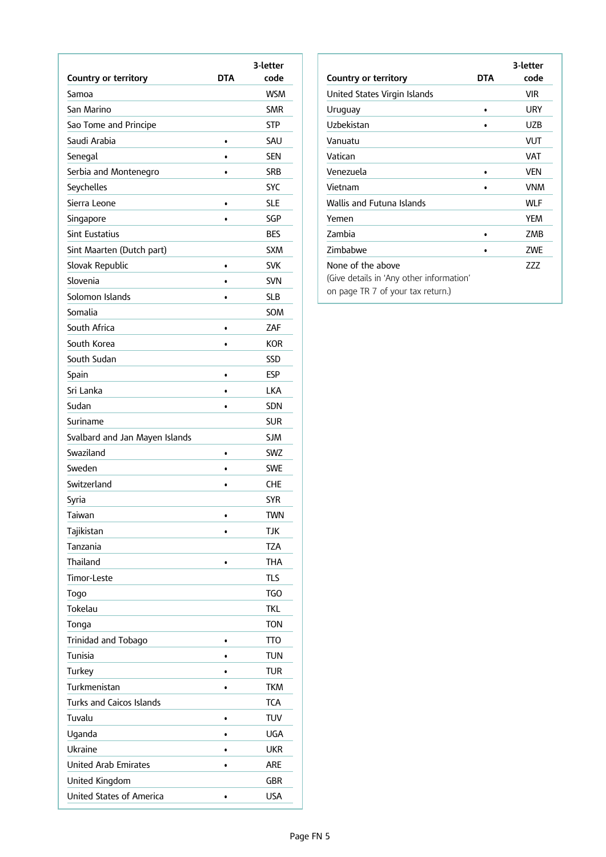|                                 |            | 3-letter   |
|---------------------------------|------------|------------|
| <b>Country or territory</b>     | <b>DTA</b> | code       |
| Samoa                           |            | <b>WSM</b> |
| San Marino                      |            | <b>SMR</b> |
| Sao Tome and Principe           |            | <b>STP</b> |
| Saudi Arabia                    | $\bullet$  | SAU        |
| Senegal                         | $\bullet$  | <b>SEN</b> |
| Serbia and Montenegro           | $\bullet$  | <b>SRB</b> |
| Seychelles                      |            | <b>SYC</b> |
| Sierra Leone                    | $\bullet$  | SLE        |
| Singapore                       | $\bullet$  | SGP        |
| <b>Sint Eustatius</b>           |            | <b>BES</b> |
| Sint Maarten (Dutch part)       |            | <b>SXM</b> |
| Slovak Republic                 | ٠          | <b>SVK</b> |
| Slovenia                        | $\bullet$  | <b>SVN</b> |
| Solomon Islands                 | $\bullet$  | <b>SLB</b> |
| Somalia                         |            | SOM        |
| South Africa                    | ٠          | ZAF        |
| South Korea                     | $\bullet$  | <b>KOR</b> |
| South Sudan                     |            | SSD        |
| Spain                           | $\bullet$  | <b>ESP</b> |
| Sri Lanka                       | ٠          | <b>LKA</b> |
| Sudan                           | ٠          | <b>SDN</b> |
| Suriname                        |            | <b>SUR</b> |
| Svalbard and Jan Mayen Islands  |            | <b>SJM</b> |
| Swaziland                       | ٠          | <b>SWZ</b> |
| Sweden                          |            | <b>SWE</b> |
| Switzerland                     | $\bullet$  | CHE        |
| Syria                           |            | SYR        |
| Taiwan                          |            | <b>TWN</b> |
| Tajikistan                      | $\bullet$  | <b>TJK</b> |
| Tanzania                        |            | TZA        |
| Thailand                        | $\bullet$  | <b>THA</b> |
| <b>Timor-Leste</b>              |            | <b>TLS</b> |
| Togo                            |            | <b>TGO</b> |
| Tokelau                         |            | TKL        |
| Tonga                           |            | <b>TON</b> |
| Trinidad and Tobago             | $\bullet$  | <b>TTO</b> |
| Tunisia                         | $\bullet$  | <b>TUN</b> |
| Turkey                          | ٠          | <b>TUR</b> |
| Turkmenistan                    |            | <b>TKM</b> |
| <b>Turks and Caicos Islands</b> |            | <b>TCA</b> |
| Tuvalu                          | ٠          | <b>TUV</b> |
| Uganda                          | ٠          | <b>UGA</b> |
| Ukraine                         | $\bullet$  | <b>UKR</b> |
| <b>United Arab Emirates</b>     | $\bullet$  | are        |
| United Kingdom                  |            | <b>GBR</b> |
| <b>United States of America</b> | $\bullet$  | <b>USA</b> |
|                                 |            |            |

| Country or territory                                                                               | DTA | 3-letter<br>code |
|----------------------------------------------------------------------------------------------------|-----|------------------|
| United States Virgin Islands                                                                       |     | VIR              |
| Uruguay                                                                                            | ٠   | URY              |
| Uzbekistan                                                                                         |     | UZB              |
| Vanuatu                                                                                            |     | VUT              |
| Vatican                                                                                            |     | VAT              |
| Venezuela                                                                                          | ٠   | <b>VFN</b>       |
| Vietnam                                                                                            |     | <b>VNM</b>       |
| Wallis and Futuna Islands                                                                          |     | <b>WLF</b>       |
| Yemen                                                                                              |     | <b>YEM</b>       |
| Zambia                                                                                             |     | ZMB              |
| Zimbabwe                                                                                           |     | <b>ZWE</b>       |
| None of the above<br>(Give details in 'Any other information'<br>on page TR 7 of your tax return.) |     | 777              |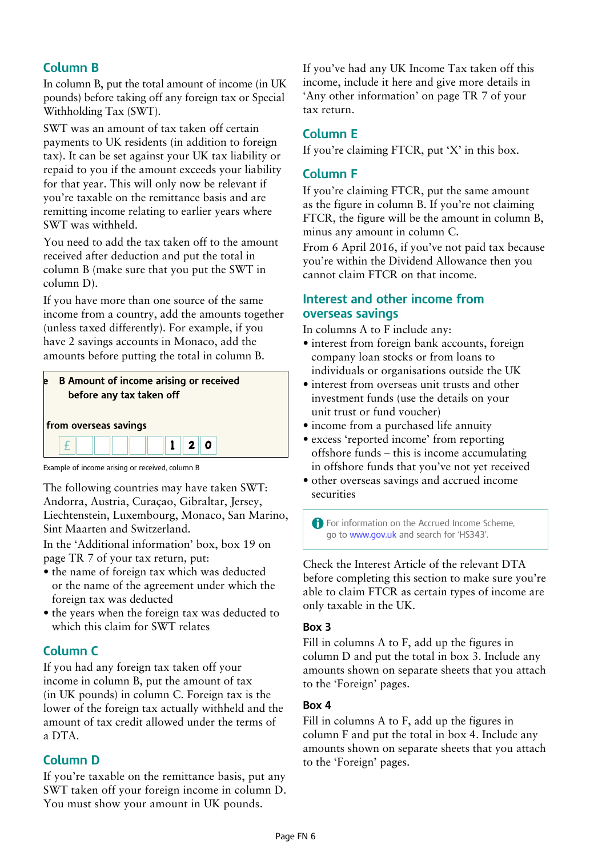## **Column B**

In column B, put the total amount of income (in UK pounds) before taking off any foreign tax or Special Withholding Tax (SWT).

SWT was an amount of tax taken off certain payments to UK residents (in addition to foreign tax). It can be set against your UK tax liability or repaid to you if the amount exceeds your liability for that year. This will only now be relevant if you're taxable on the remittance basis and are remitting income relating to earlier years where SWT was withheld.

You need to add the tax taken off to the amount received after deduction and put the total in column B (make sure that you put the SWT in column D).

If you have more than one source of the same income from a country, add the amounts together (unless taxed differently). For example, if you have 2 savings accounts in Monaco, add the amounts before putting the total in column B.



Example of income arising or received, column B

The following countries may have taken SWT: Andorra, Austria, Curaçao, Gibraltar, Jersey, Liechtenstein, Luxembourg, Monaco, San Marino, Sint Maarten and Switzerland.

In the 'Additional information' box, box 19 on page TR 7 of your tax return, put:

- the name of foreign tax which was deducted or the name of the agreement under which the foreign tax was deducted
- the years when the foreign tax was deducted to which this claim for SWT relates

## **Column C**

If you had any foreign tax taken off your income in column B, put the amount of tax (in UK pounds) in column C. Foreign tax is the lower of the foreign tax actually withheld and the amount of tax credit allowed under the terms of a DTA.

## **Column D**

If you're taxable on the remittance basis, put any SWT taken off your foreign income in column D. You must show your amount in UK pounds.

If you've had any UK Income Tax taken off this income, include it here and give more details in 'Any other information' on page TR 7 of your tax return.

## **Column E**

If you're claiming FTCR, put 'X' in this box.

## **Column F**

If you're claiming FTCR, put the same amount as the figure in column B. If you're not claiming FTCR, the figure will be the amount in column B, minus any amount in column C.

From 6 April 2016, if you've not paid tax because you're within the Dividend Allowance then you cannot claim FTCR on that income.

#### **Interest and other income from overseas savings**

In columns A to F include any:

- interest from foreign bank accounts, foreign company loan stocks or from loans to individuals or organisations outside the UK
- interest from overseas unit trusts and other investment funds (use the details on your unit trust or fund voucher)
- income from a purchased life annuity
- excess 'reported income' from reporting offshore funds – this is income accumulating in offshore funds that you've not yet received
- other overseas savings and accrued income securities

A For information on the Accrued Income Scheme, go to www.gov.uk and search for 'HS343'.

Check the Interest Article of the relevant DTA before completing this section to make sure you're able to claim FTCR as certain types of income are only taxable in the UK.

#### **Box 3**

Fill in columns A to F, add up the figures in column D and put the total in box 3. Include any amounts shown on separate sheets that you attach to the 'Foreign' pages.

#### **Box 4**

Fill in columns A to F, add up the figures in column F and put the total in box 4. Include any amounts shown on separate sheets that you attach to the 'Foreign' pages.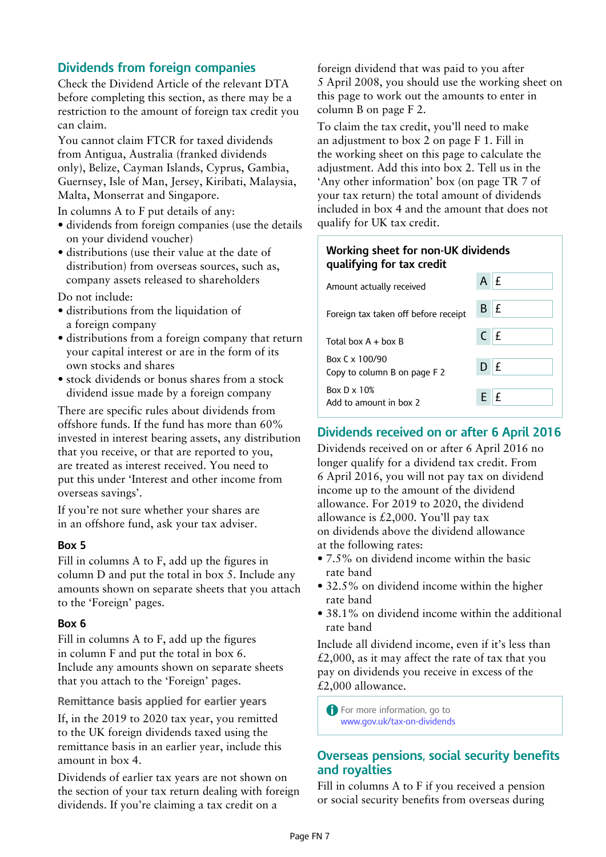## **Dividends from foreign companies**

Check the Dividend Article of the relevant DTA before completing this section, as there may be a restriction to the amount of foreign tax credit you can claim.

You cannot claim FTCR for taxed dividends from Antigua, Australia (franked dividends only), Belize, Cayman Islands, Cyprus, Gambia, Guernsey, Isle of Man, Jersey, Kiribati, Malaysia, Malta, Monserrat and Singapore.

In columns A to F put details of any:

- dividends from foreign companies (use the details on your dividend voucher)
- distributions (use their value at the date of distribution) from overseas sources, such as, company assets released to shareholders

Do not include:

- distributions from the liquidation of a foreign company
- distributions from a foreign company that return your capital interest or are in the form of its own stocks and shares
- stock dividends or bonus shares from a stock dividend issue made by a foreign company

There are specific rules about dividends from offshore funds. If the fund has more than 60% invested in interest bearing assets, any distribution that you receive, or that are reported to you, are treated as interest received. You need to put this under 'Interest and other income from overseas savings'.

If you're not sure whether your shares are in an offshore fund, ask your tax adviser.

#### **Box 5**

Fill in columns A to F, add up the figures in column D and put the total in box 5. Include any amounts shown on separate sheets that you attach to the 'Foreign' pages.

#### **Box 6**

Fill in columns A to F, add up the figures in column F and put the total in box 6. Include any amounts shown on separate sheets that you attach to the 'Foreign' pages.

**Remittance basis applied for earlier years**

If, in the 2019 to 2020 tax year, you remitted to the UK foreign dividends taxed using the remittance basis in an earlier year, include this amount in box 4.

Dividends of earlier tax years are not shown on the section of your tax return dealing with foreign dividends. If you're claiming a tax credit on a

foreign dividend that was paid to you after 5 April 2008, you should use the working sheet on this page to work out the amounts to enter in column B on page F 2.

To claim the tax credit, you'll need to make an adjustment to box 2 on page F 1. Fill in the working sheet on this page to calculate the adjustment. Add this into box 2. Tell us in the 'Any other information' box (on page TR 7 of your tax return) the total amount of dividends included in box 4 and the amount that does not qualify for UK tax credit.

#### **Working sheet for non-UK dividends qualifying for tax credit**

| Amount actually received                       |            |
|------------------------------------------------|------------|
| Foreign tax taken off before receipt           | $B$ $E$    |
| Total box $A + boxB$                           | $C$ $E$    |
| Box C x 100/90<br>Copy to column B on page F 2 | $D$ $E$    |
| Box $D \times 10\%$<br>Add to amount in box 2  | $E \mid f$ |

## **Dividends received on or after 6 April 2016**

Dividends received on or after 6 April 2016 no longer qualify for a dividend tax credit. From 6 April 2016, you will not pay tax on dividend income up to the amount of the dividend allowance. For 2019 to 2020, the dividend allowance is  $£2,000$ . You'll pay tax on dividends above the dividend allowance at the following rates:

- 7.5% on dividend income within the basic rate band
- 32.5% on dividend income within the higher rate band
- 38.1% on dividend income within the additional rate band

Include all dividend income, even if it's less than  $£2,000$ , as it may affect the rate of tax that you pay on dividends you receive in excess of the £2,000 allowance.

**A** For more information, go to www.gov.uk/tax-on-dividends

## **Overseas pensions, social security benefits and royalties**

Fill in columns A to F if you received a pension or social security benefits from overseas during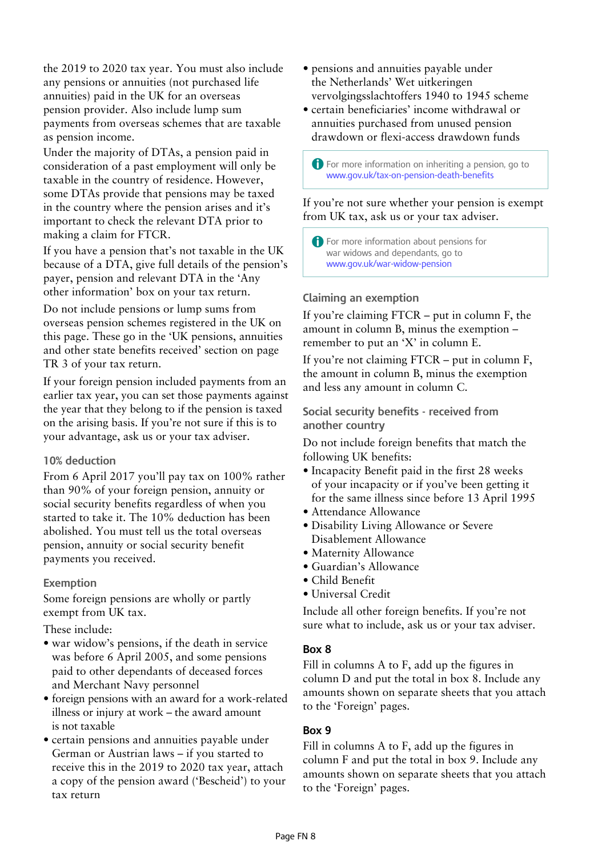the 2019 to 2020 tax year. You must also include any pensions or annuities (not purchased life annuities) paid in the UK for an overseas pension provider. Also include lump sum payments from overseas schemes that are taxable as pension income.

Under the majority of DTAs, a pension paid in consideration of a past employment will only be taxable in the country of residence. However, some DTAs provide that pensions may be taxed in the country where the pension arises and it's important to check the relevant DTA prior to making a claim for FTCR.

If you have a pension that's not taxable in the UK because of a DTA, give full details of the pension's payer, pension and relevant DTA in the 'Any other information' box on your tax return.

Do not include pensions or lump sums from overseas pension schemes registered in the UK on this page. These go in the 'UK pensions, annuities and other state benefits received' section on page TR 3 of your tax return.

If your foreign pension included payments from an earlier tax year, you can set those payments against the year that they belong to if the pension is taxed on the arising basis. If you're not sure if this is to your advantage, ask us or your tax adviser.

#### **10% deduction**

From 6 April 2017 you'll pay tax on 100% rather than 90% of your foreign pension, annuity or social security benefits regardless of when you started to take it. The 10% deduction has been abolished. You must tell us the total overseas pension, annuity or social security benefit payments you received.

#### **Exemption**

Some foreign pensions are wholly or partly exempt from UK tax.

These include:

- war widow's pensions, if the death in service was before 6 April 2005, and some pensions paid to other dependants of deceased forces and Merchant Navy personnel
- foreign pensions with an award for a work-related illness or injury at work – the award amount is not taxable
- certain pensions and annuities payable under German or Austrian laws – if you started to receive this in the 2019 to 2020 tax year, attach a copy of the pension award ('Bescheid') to your tax return
- pensions and annuities payable under the Netherlands' Wet uitkeringen vervolgingsslachtoffers 1940 to 1945 scheme
- certain beneficiaries' income withdrawal or annuities purchased from unused pension drawdown or flexi-access drawdown funds

A For more information on inheriting a pension, go to www.gov.uk/tax-on-pension-death-benefits

If you're not sure whether your pension is exempt from UK tax, ask us or your tax adviser.

A For more information about pensions for war widows and dependants, go to www.gov.uk/war-widow-pension

#### **Claiming an exemption**

If you're claiming FTCR – put in column F, the amount in column B, minus the exemption – remember to put an 'X' in column E.

If you're not claiming FTCR – put in column F, the amount in column B, minus the exemption and less any amount in column C.

**Social security benefits - received from another country**

Do not include foreign benefits that match the following UK benefits:

- Incapacity Benefit paid in the first 28 weeks of your incapacity or if you've been getting it for the same illness since before 13 April 1995
- Attendance Allowance
- Disability Living Allowance or Severe Disablement Allowance
- Maternity Allowance
- Guardian's Allowance
- Child Benefit
- Universal Credit

Include all other foreign benefits. If you're not sure what to include, ask us or your tax adviser.

#### **Box 8**

Fill in columns A to F, add up the figures in column D and put the total in box 8. Include any amounts shown on separate sheets that you attach to the 'Foreign' pages.

#### **Box 9**

Fill in columns A to F, add up the figures in column F and put the total in box 9. Include any amounts shown on separate sheets that you attach to the 'Foreign' pages.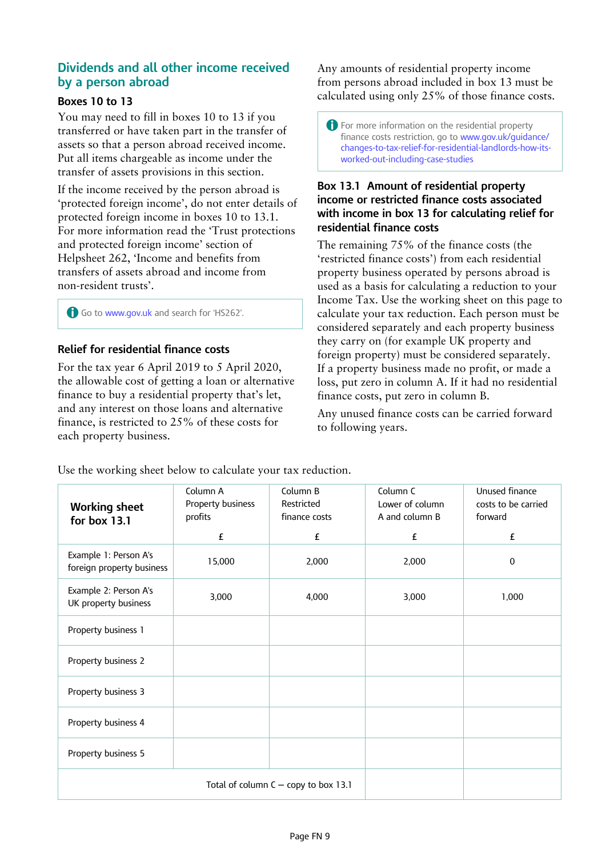## **Dividends and all other income received by a person abroad**

#### **Boxes 10 to 13**

You may need to fill in boxes 10 to 13 if you transferred or have taken part in the transfer of assets so that a person abroad received income. Put all items chargeable as income under the transfer of assets provisions in this section.

If the income received by the person abroad is 'protected foreign income', do not enter details of protected foreign income in boxes 10 to 13.1. For more information read the 'Trust protections and protected foreign income' section of Helpsheet 262, 'Income and benefits from transfers of assets abroad and income from non-resident trusts'.

A Go to www.gov.uk and search for 'HS262'.

#### **Relief for residential finance costs**

For the tax year 6 April 2019 to 5 April 2020, the allowable cost of getting a loan or alternative finance to buy a residential property that's let, and any interest on those loans and alternative finance, is restricted to 25% of these costs for each property business.

Any amounts of residential property income from persons abroad included in box 13 must be calculated using only 25% of those finance costs.

A For more information on the residential property finance costs restriction, go to www.gov.uk/guidance/ changes-to-tax-relief-for-residential-landlords-how-itsworked-out-including-case-studies

#### **Box 13.1 Amount of residential property income or restricted finance costs associated with income in box 13 for calculating relief for residential finance costs**

The remaining 75% of the finance costs (the 'restricted finance costs') from each residential property business operated by persons abroad is used as a basis for calculating a reduction to your Income Tax. Use the working sheet on this page to calculate your tax reduction. Each person must be considered separately and each property business they carry on (for example UK property and foreign property) must be considered separately. If a property business made no profit, or made a loss, put zero in column A. If it had no residential finance costs, put zero in column B.

Any unused finance costs can be carried forward to following years.

|  |  |  |  |  | Use the working sheet below to calculate your tax reduction. |  |
|--|--|--|--|--|--------------------------------------------------------------|--|
|  |  |  |  |  |                                                              |  |
|  |  |  |  |  |                                                              |  |
|  |  |  |  |  |                                                              |  |

| <b>Working sheet</b><br>for box 13.1               | Column A<br>Property business<br>profits | Column B<br>Restricted<br>finance costs | Column C<br>Lower of column<br>A and column B | Unused finance<br>costs to be carried<br>forward |
|----------------------------------------------------|------------------------------------------|-----------------------------------------|-----------------------------------------------|--------------------------------------------------|
|                                                    | £                                        | £                                       | £                                             | £                                                |
| Example 1: Person A's<br>foreign property business | 15,000                                   | 2,000                                   | 2,000                                         | $\mathbf{0}$                                     |
| Example 2: Person A's<br>UK property business      | 3,000                                    | 4,000                                   | 3,000                                         | 1,000                                            |
| Property business 1                                |                                          |                                         |                                               |                                                  |
| Property business 2                                |                                          |                                         |                                               |                                                  |
| Property business 3                                |                                          |                                         |                                               |                                                  |
| Property business 4                                |                                          |                                         |                                               |                                                  |
| Property business 5                                |                                          |                                         |                                               |                                                  |
|                                                    |                                          | Total of column $C -$ copy to box 13.1  |                                               |                                                  |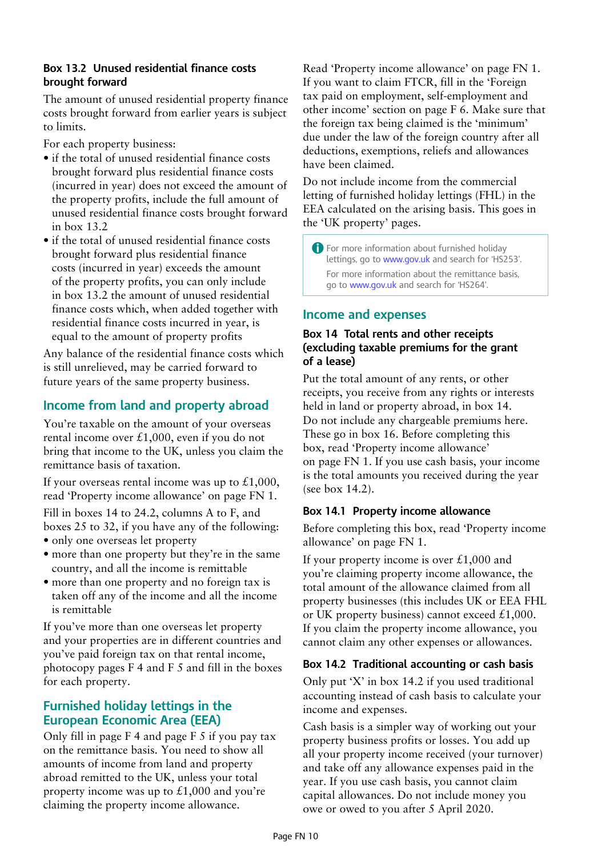#### **Box 13.2 Unused residential finance costs brought forward**

The amount of unused residential property finance costs brought forward from earlier years is subject to limits.

For each property business:

- if the total of unused residential finance costs brought forward plus residential finance costs (incurred in year) does not exceed the amount of the property profits, include the full amount of unused residential finance costs brought forward in box 13.2
- if the total of unused residential finance costs brought forward plus residential finance costs (incurred in year) exceeds the amount of the property profits, you can only include in box 13.2 the amount of unused residential finance costs which, when added together with residential finance costs incurred in year, is equal to the amount of property profits

Any balance of the residential finance costs which is still unrelieved, may be carried forward to future years of the same property business.

## **Income from land and property abroad**

You're taxable on the amount of your overseas rental income over £1,000, even if you do not bring that income to the UK, unless you claim the remittance basis of taxation.

If your overseas rental income was up to  $£1,000,$ read 'Property income allowance' on page FN 1.

Fill in boxes 14 to 24.2, columns A to F, and boxes 25 to 32, if you have any of the following:

- only one overseas let property
- more than one property but they're in the same country, and all the income is remittable
- more than one property and no foreign tax is taken off any of the income and all the income is remittable

If you've more than one overseas let property and your properties are in different countries and you've paid foreign tax on that rental income, photocopy pages F 4 and F 5 and fill in the boxes for each property.

## **Furnished holiday lettings in the European Economic Area (EEA)**

Only fill in page F 4 and page F 5 if you pay tax on the remittance basis. You need to show all amounts of income from land and property abroad remitted to the UK, unless your total property income was up to  $\pounds1,000$  and you're claiming the property income allowance.

Read 'Property income allowance' on page FN 1. If you want to claim FTCR, fill in the 'Foreign tax paid on employment, self-employment and other income' section on page F 6. Make sure that the foreign tax being claimed is the 'minimum' due under the law of the foreign country after all deductions, exemptions, reliefs and allowances have been claimed.

Do not include income from the commercial letting of furnished holiday lettings (FHL) in the EEA calculated on the arising basis. This goes in the 'UK property' pages.

A For more information about furnished holiday lettings, go to www.gov.uk and search for 'HS253'. For more information about the remittance basis, go to www.gov.uk and search for 'HS264'.

## **Income and expenses**

#### **Box 14 Total rents and other receipts (excluding taxable premiums for the grant of a lease)**

Put the total amount of any rents, or other receipts, you receive from any rights or interests held in land or property abroad, in box 14. Do not include any chargeable premiums here. These go in box 16. Before completing this box, read 'Property income allowance' on page FN 1. If you use cash basis, your income is the total amounts you received during the year (see box 14.2).

#### **Box 14.1 Property income allowance**

Before completing this box, read 'Property income allowance' on page FN 1.

If your property income is over  $\text{\pounds}1,000$  and you're claiming property income allowance, the total amount of the allowance claimed from all property businesses (this includes UK or EEA FHL or UK property business) cannot exceed  $£1,000$ . If you claim the property income allowance, you cannot claim any other expenses or allowances.

#### **Box 14.2 Traditional accounting or cash basis**

Only put 'X' in box 14.2 if you used traditional accounting instead of cash basis to calculate your income and expenses.

Cash basis is a simpler way of working out your property business profits or losses. You add up all your property income received (your turnover) and take off any allowance expenses paid in the year. If you use cash basis, you cannot claim capital allowances. Do not include money you owe or owed to you after 5 April 2020.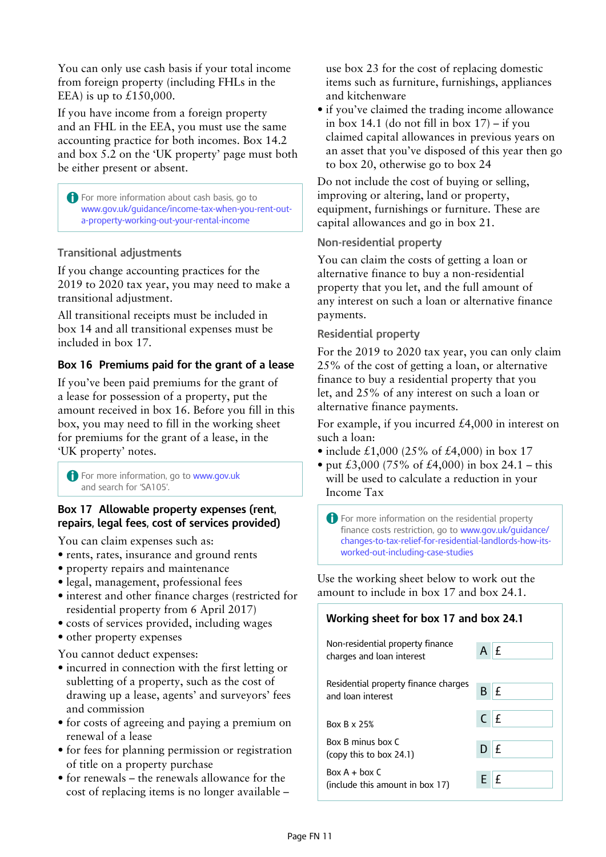You can only use cash basis if your total income from foreign property (including FHLs in the EEA) is up to  $£150,000$ .

If you have income from a foreign property and an FHL in the EEA, you must use the same accounting practice for both incomes. Box 14.2 and box 5.2 on the 'UK property' page must both be either present or absent.

**A** For more information about cash basis, go to www.gov.uk/guidance/income-tax-when-you-rent-outa-property-working-out-your-rental-income

## **Transitional adjustments**

If you change accounting practices for the 2019 to 2020 tax year, you may need to make a transitional adjustment.

All transitional receipts must be included in box 14 and all transitional expenses must be included in box 17.

## **Box 16 Premiums paid for the grant of a lease**

If you've been paid premiums for the grant of a lease for possession of a property, put the amount received in box 16. Before you fill in this box, you may need to fill in the working sheet for premiums for the grant of a lease, in the 'UK property' notes.

**A** For more information, go to www.gov.uk and search for 'SA105'.

#### **Box 17 Allowable property expenses (rent, repairs, legal fees, cost of services provided)**

You can claim expenses such as:

- rents, rates, insurance and ground rents
- property repairs and maintenance
- legal, management, professional fees
- interest and other finance charges (restricted for residential property from 6 April 2017)
- costs of services provided, including wages
- other property expenses

You cannot deduct expenses:

- incurred in connection with the first letting or subletting of a property, such as the cost of drawing up a lease, agents' and surveyors' fees and commission
- for costs of agreeing and paying a premium on renewal of a lease
- for fees for planning permission or registration of title on a property purchase
- for renewals the renewals allowance for the cost of replacing items is no longer available –

use box 23 for the cost of replacing domestic items such as furniture, furnishings, appliances and kitchenware

• if you've claimed the trading income allowance in box  $14.1$  (do not fill in box  $17$ ) – if you claimed capital allowances in previous years on an asset that you've disposed of this year then go to box 20, otherwise go to box 24

Do not include the cost of buying or selling, improving or altering, land or property, equipment, furnishings or furniture. These are capital allowances and go in box 21.

#### **Non-residential property**

You can claim the costs of getting a loan or alternative finance to buy a non-residential property that you let, and the full amount of any interest on such a loan or alternative finance payments.

#### **Residential property**

For the 2019 to 2020 tax year, you can only claim 25% of the cost of getting a loan, or alternative finance to buy a residential property that you let, and 25% of any interest on such a loan or alternative finance payments.

For example, if you incurred £4,000 in interest on such a loan:

- include £1,000 (25% of £4,000) in box 17
- put £3,000 (75% of £4,000) in box 24.1 this will be used to calculate a reduction in your Income Tax

A For more information on the residential property finance costs restriction, go to www.gov.uk/guidance/ changes-to-tax-relief-for-residential-landlords-how-itsworked-out-including-case-studies

Use the working sheet below to work out the amount to include in box 17 and box 24.1.

| Working sheet for box 17 and box 24.1                             |          |  |  |
|-------------------------------------------------------------------|----------|--|--|
| Non-residential property finance<br>charges and loan interest     | $A$ $E$  |  |  |
| Residential property finance charges<br>and loan interest         | £<br>B   |  |  |
| <b>Box B x 25%</b>                                                | $C$ $E$  |  |  |
| Box B minus box C<br>$\left(\text{copy this to box } 24.1\right)$ | £<br>D I |  |  |
| $Box A + box C$<br>(include this amount in box 17)                | E f      |  |  |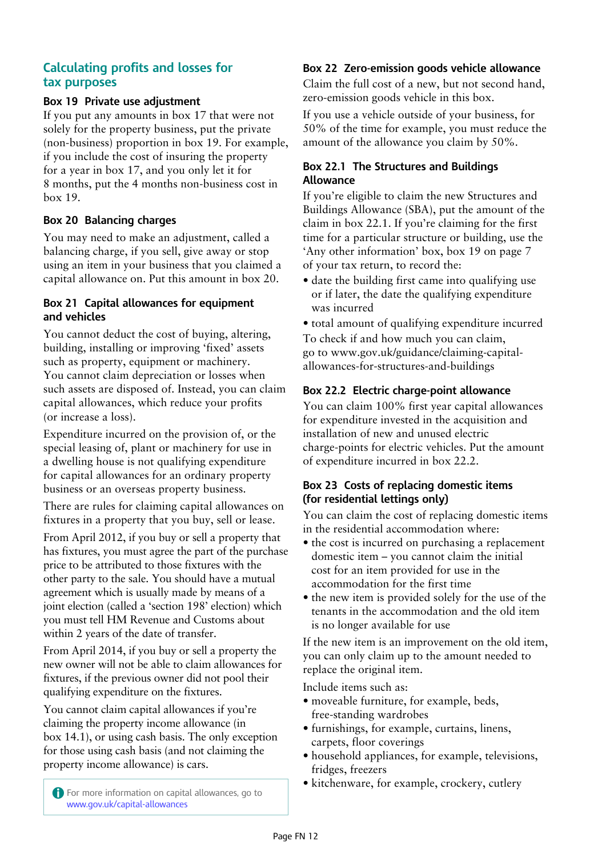## **Calculating profits and losses for tax purposes**

#### **Box 19 Private use adjustment**

If you put any amounts in box 17 that were not solely for the property business, put the private (non-business) proportion in box 19. For example, if you include the cost of insuring the property for a year in box 17, and you only let it for 8 months, put the 4 months non-business cost in box 19.

### **Box 20 Balancing charges**

You may need to make an adjustment, called a balancing charge, if you sell, give away or stop using an item in your business that you claimed a capital allowance on. Put this amount in box 20.

#### **Box 21 Capital allowances for equipment and vehicles**

You cannot deduct the cost of buying, altering, building, installing or improving 'fixed' assets such as property, equipment or machinery. You cannot claim depreciation or losses when such assets are disposed of. Instead, you can claim capital allowances, which reduce your profits (or increase a loss).

Expenditure incurred on the provision of, or the special leasing of, plant or machinery for use in a dwelling house is not qualifying expenditure for capital allowances for an ordinary property business or an overseas property business.

There are rules for claiming capital allowances on fixtures in a property that you buy, sell or lease.

From April 2012, if you buy or sell a property that has fixtures, you must agree the part of the purchase price to be attributed to those fixtures with the other party to the sale. You should have a mutual agreement which is usually made by means of a joint election (called a 'section 198' election) which you must tell HM Revenue and Customs about within 2 years of the date of transfer.

From April 2014, if you buy or sell a property the new owner will not be able to claim allowances for fixtures, if the previous owner did not pool their qualifying expenditure on the fixtures.

You cannot claim capital allowances if you're claiming the property income allowance (in box 14.1), or using cash basis. The only exception for those using cash basis (and not claiming the property income allowance) is cars.

#### **Box 22 Zero-emission goods vehicle allowance**

Claim the full cost of a new, but not second hand, zero-emission goods vehicle in this box.

If you use a vehicle outside of your business, for 50% of the time for example, you must reduce the amount of the allowance you claim by 50%.

#### **Box 22.1 The Structures and Buildings Allowance**

If you're eligible to claim the new Structures and Buildings Allowance (SBA), put the amount of the claim in box 22.1. If you're claiming for the first time for a particular structure or building, use the 'Any other information' box, box 19 on page 7 of your tax return, to record the:

- date the building first came into qualifying use or if later, the date the qualifying expenditure was incurred
- total amount of qualifying expenditure incurred To check if and how much you can claim, go to www.gov.uk/guidance/claiming-capitalallowances-for-structures-and-buildings

#### **Box 22.2 Electric charge-point allowance**

You can claim 100% first year capital allowances for expenditure invested in the acquisition and installation of new and unused electric charge-points for electric vehicles. Put the amount of expenditure incurred in box 22.2.

#### **Box 23 Costs of replacing domestic items (for residential lettings only)**

You can claim the cost of replacing domestic items in the residential accommodation where:

- the cost is incurred on purchasing a replacement domestic item – you cannot claim the initial cost for an item provided for use in the accommodation for the first time
- the new item is provided solely for the use of the tenants in the accommodation and the old item is no longer available for use

If the new item is an improvement on the old item, you can only claim up to the amount needed to replace the original item.

Include items such as:

- moveable furniture, for example, beds, free-standing wardrobes
- furnishings, for example, curtains, linens, carpets, floor coverings
- household appliances, for example, televisions, fridges, freezers
- kitchenware, for example, crockery, cutlery

A For more information on capital allowances, go to www.gov.uk/capital-allowances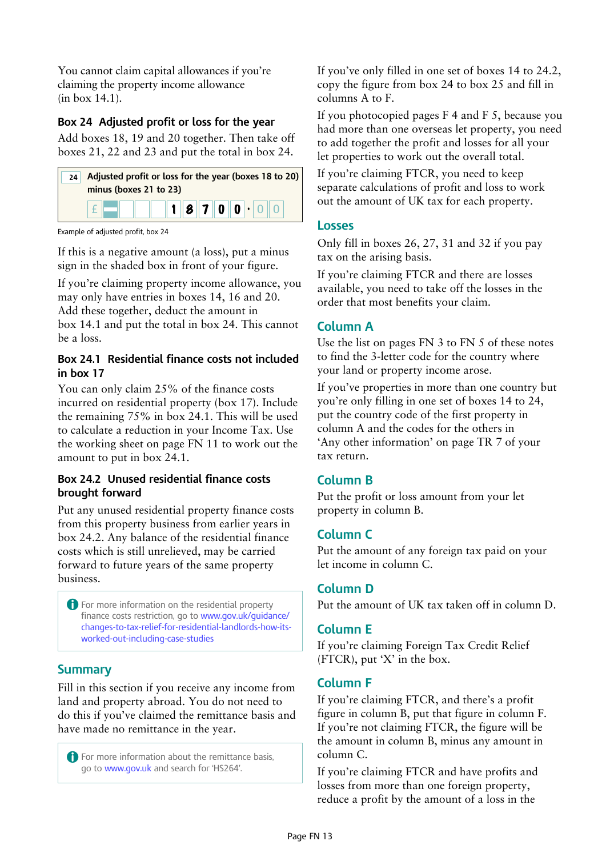You cannot claim capital allowances if you're claiming the property income allowance (in box 14.1).

#### **Box 24 Adjusted profit or loss for the year 23 Costs of replacing domestic items (for residential**  4 Aujusted

Add boxes 18, 19 and 20 together. Then take off boxes 21, 22 and 23 and put the total in box 24. £

| Adjusted profit or loss for the year (boxes 18 to 20)<br>minus (boxes 21 to 23) |
|---------------------------------------------------------------------------------|
| 1870000                                                                         |

Example of adjusted profit, box 24

If this is a negative amount (a loss), put a minus sign in the shaded box in front of your figure.

If you're claiming property income allowance, you Add these together, deduct the amount in  $\frac{1}{2}$  **be** a loss. may only have entries in boxes 14, 16 and 20. box 14.1 and put the total in box 24. This cannot be a loss.

#### **EXALTER**<br>**EXALTER EXALT**<br>**EXALT Box 24.1 Residential finance costs not included in box 17**

You can only claim  $25\%$  of the finance costs the remaining 75% in box 24.1. This will be used incurred on residential property (box 17). Include to calculate a reduction in your Income Tax. Use the working sheet on page FN 11 to work out the amount to put in box 24.1.

#### **Box 24.2 Unused residential finance costs brought forward**

forward to future years of the same property Put any unused residential property finance costs from this property business from earlier years in box 24.2. Any balance of the residential finance costs which is still unrelieved, may be carried business.

££ A For more information on the residential property finance costs restriction, go to www.gov.uk/guidance/ changes-to-tax-relief-for-residential-landlords-how-itsworked-out-including-case-studies

## **Summary**

Fill in this section if you receive any income from land and property abroad. You do not need to do this if you've claimed the remittance basis and have made no remittance in the year.

SA106 2017 Page 12 and 2017 Page 12 and 2017 Page 12 and 2017 Page 12 and 2017 Page 12 and 2017 Page 12 and 20 **A** For more information about the remittance basis, go to www.gov.uk and search for 'HS264'.

If you've only filled in one set of boxes 14 to 24.2, copy the figure from box 24 to box 25 and fill in columns A to F.

If you photocopied pages F 4 and F 5, because you had more than one overseas let property, you need to add together the profit and losses for all your let properties to work out the overall total.

If you're claiming FTCR, you need to keep separate calculations of profit and loss to work out the amount of UK tax for each property.

#### **Losses**

Only fill in boxes 26, 27, 31 and 32 if you pay tax on the arising basis.

If you're claiming FTCR and there are losses available, you need to take off the losses in the order that most benefits your claim.

## **Column A**

Use the list on pages FN 3 to FN 5 of these notes to find the 3-letter code for the country where your land or property income arose.

If you've properties in more than one country but you're only filling in one set of boxes 14 to 24, put the country code of the first property in column A and the codes for the others in 'Any other information' on page TR 7 of your tax return.

## **Column B**

Put the profit or loss amount from your let property in column B.

## **Column C**

Put the amount of any foreign tax paid on your let income in column C.

## **Column D**

Put the amount of UK tax taken off in column D.

## **Column E**

If you're claiming Foreign Tax Credit Relief (FTCR), put 'X' in the box.

## **Column F**

If you're claiming FTCR, and there's a profit figure in column B, put that figure in column F. If you're not claiming FTCR, the figure will be the amount in column B, minus any amount in column C.

If you're claiming FTCR and have profits and losses from more than one foreign property, reduce a profit by the amount of a loss in the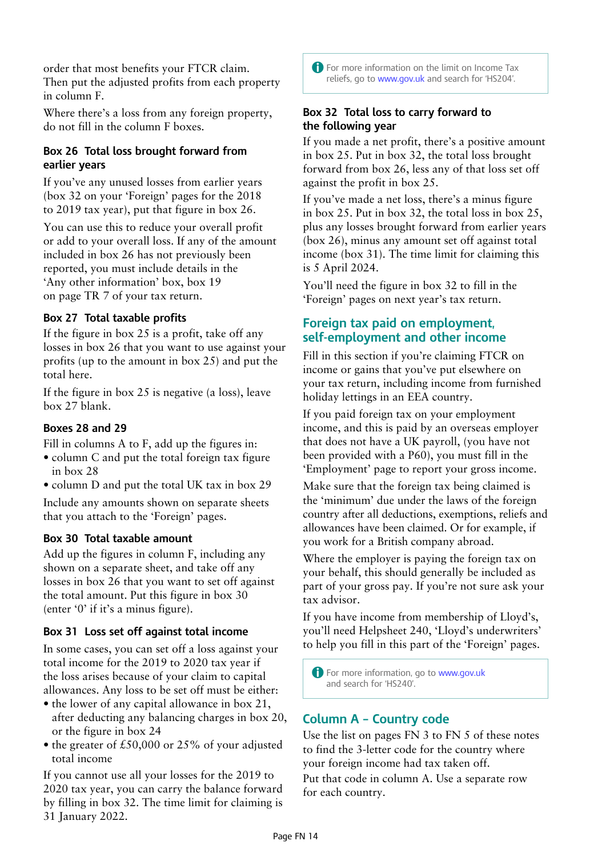order that most benefits your FTCR claim. Then put the adjusted profits from each property in column F.

Where there's a loss from any foreign property, do not fill in the column F boxes.

#### **Box 26 Total loss brought forward from earlier years**

If you've any unused losses from earlier years (box 32 on your 'Foreign' pages for the 2018 to 2019 tax year), put that figure in box 26.

You can use this to reduce your overall profit or add to your overall loss. If any of the amount included in box 26 has not previously been reported, you must include details in the 'Any other information' box, box 19 on page TR 7 of your tax return.

## **Box 27 Total taxable profits**

If the figure in box 25 is a profit, take off any losses in box 26 that you want to use against your profits (up to the amount in box 25) and put the total here.

If the figure in box 25 is negative (a loss), leave box 27 blank.

#### **Boxes 28 and 29**

Fill in columns A to F, add up the figures in:

- column C and put the total foreign tax figure in box 28
- column D and put the total UK tax in box 29

Include any amounts shown on separate sheets that you attach to the 'Foreign' pages.

#### **Box 30 Total taxable amount**

Add up the figures in column F, including any shown on a separate sheet, and take off any losses in box 26 that you want to set off against the total amount. Put this figure in box 30 (enter '0' if it's a minus figure).

#### **Box 31 Loss set off against total income**

In some cases, you can set off a loss against your total income for the 2019 to 2020 tax year if the loss arises because of your claim to capital allowances. Any loss to be set off must be either:

- the lower of any capital allowance in box 21, after deducting any balancing charges in box 20, or the figure in box 24
- the greater of £50,000 or 25% of your adjusted total income

If you cannot use all your losses for the 2019 to 2020 tax year, you can carry the balance forward by filling in box 32. The time limit for claiming is 31 January 2022.

**A** For more information on the limit on Income Tax reliefs, go to www.gov.uk and search for 'HS204'.

#### **Box 32 Total loss to carry forward to the following year**

If you made a net profit, there's a positive amount in box 25. Put in box 32, the total loss brought forward from box 26, less any of that loss set off against the profit in box 25.

If you've made a net loss, there's a minus figure in box 25. Put in box 32, the total loss in box 25, plus any losses brought forward from earlier years (box 26), minus any amount set off against total income (box 31). The time limit for claiming this is 5 April 2024.

You'll need the figure in box 32 to fill in the 'Foreign' pages on next year's tax return.

## **Foreign tax paid on employment, self-employment and other income**

Fill in this section if you're claiming FTCR on income or gains that you've put elsewhere on your tax return, including income from furnished holiday lettings in an EEA country.

If you paid foreign tax on your employment income, and this is paid by an overseas employer that does not have a UK payroll, (you have not been provided with a P60), you must fill in the 'Employment' page to report your gross income.

Make sure that the foreign tax being claimed is the 'minimum' due under the laws of the foreign country after all deductions, exemptions, reliefs and allowances have been claimed. Or for example, if you work for a British company abroad.

Where the employer is paying the foreign tax on your behalf, this should generally be included as part of your gross pay. If you're not sure ask your tax advisor.

If you have income from membership of Lloyd's, you'll need Helpsheet 240, 'Lloyd's underwriters' to help you fill in this part of the 'Foreign' pages.

**A** For more information, go to www.gov.uk and search for 'HS240'.

## **Column A – Country code**

Use the list on pages FN 3 to FN 5 of these notes to find the 3-letter code for the country where your foreign income had tax taken off. Put that code in column A. Use a separate row for each country.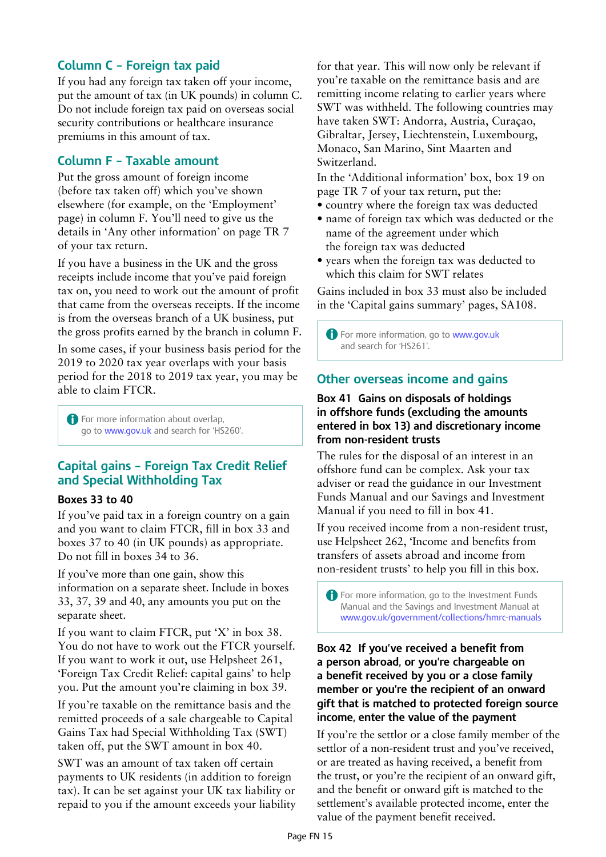## **Column C – Foreign tax paid**

If you had any foreign tax taken off your income, put the amount of tax (in UK pounds) in column C. Do not include foreign tax paid on overseas social security contributions or healthcare insurance premiums in this amount of tax.

## **Column F – Taxable amount**

Put the gross amount of foreign income (before tax taken off) which you've shown elsewhere (for example, on the 'Employment' page) in column F. You'll need to give us the details in 'Any other information' on page TR 7 of your tax return.

If you have a business in the UK and the gross receipts include income that you've paid foreign tax on, you need to work out the amount of profit that came from the overseas receipts. If the income is from the overseas branch of a UK business, put the gross profits earned by the branch in column F.

In some cases, if your business basis period for the 2019 to 2020 tax year overlaps with your basis period for the 2018 to 2019 tax year, you may be able to claim FTCR.

**A** For more information about overlap, go to www.gov.uk and search for 'HS260'.

## **Capital gains – Foreign Tax Credit Relief and Special Withholding Tax**

#### **Boxes 33 to 40**

If you've paid tax in a foreign country on a gain and you want to claim FTCR, fill in box 33 and boxes 37 to 40 (in UK pounds) as appropriate. Do not fill in boxes 34 to 36.

If you've more than one gain, show this information on a separate sheet. Include in boxes 33, 37, 39 and 40, any amounts you put on the separate sheet.

If you want to claim FTCR, put 'X' in box 38. You do not have to work out the FTCR yourself. If you want to work it out, use Helpsheet 261, 'Foreign Tax Credit Relief: capital gains' to help you. Put the amount you're claiming in box 39.

If you're taxable on the remittance basis and the remitted proceeds of a sale chargeable to Capital Gains Tax had Special Withholding Tax (SWT) taken off, put the SWT amount in box 40.

SWT was an amount of tax taken off certain payments to UK residents (in addition to foreign tax). It can be set against your UK tax liability or repaid to you if the amount exceeds your liability for that year. This will now only be relevant if you're taxable on the remittance basis and are remitting income relating to earlier years where SWT was withheld. The following countries may have taken SWT: Andorra, Austria, Curaçao, Gibraltar, Jersey, Liechtenstein, Luxembourg, Monaco, San Marino, Sint Maarten and Switzerland.

In the 'Additional information' box, box 19 on page TR 7 of your tax return, put the:

• country where the foreign tax was deducted

- name of foreign tax which was deducted or the name of the agreement under which the foreign tax was deducted
- years when the foreign tax was deducted to which this claim for SWT relates

Gains included in box 33 must also be included in the 'Capital gains summary' pages, SA108.

**A** For more information, go to www.gov.uk and search for 'HS261'.

## **Other overseas income and gains**

#### **Box 41 Gains on disposals of holdings in offshore funds (excluding the amounts entered in box 13) and discretionary income from non-resident trusts**

The rules for the disposal of an interest in an offshore fund can be complex. Ask your tax adviser or read the guidance in our Investment Funds Manual and our Savings and Investment Manual if you need to fill in box 41.

If you received income from a non-resident trust, use Helpsheet 262, 'Income and benefits from transfers of assets abroad and income from non-resident trusts' to help you fill in this box.

A For more information, go to the Investment Funds Manual and the Savings and Investment Manual at www.gov.uk/government/collections/hmrc-manuals

#### **Box 42 If you've received a benefit from a person abroad, or you're chargeable on a benefit received by you or a close family member or you're the recipient of an onward gift that is matched to protected foreign source income, enter the value of the payment**

If you're the settlor or a close family member of the settlor of a non-resident trust and you've received, or are treated as having received, a benefit from the trust, or you're the recipient of an onward gift, and the benefit or onward gift is matched to the settlement's available protected income, enter the value of the payment benefit received.